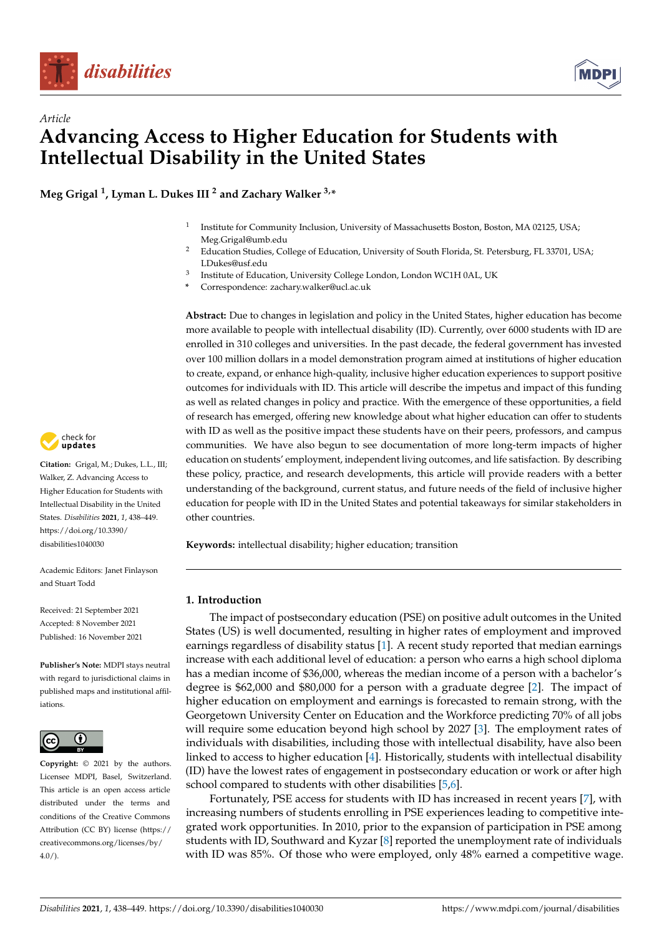



# *Article* **Advancing Access to Higher Education for Students with Intellectual Disability in the United States**

**Meg Grigal <sup>1</sup> , Lyman L. Dukes III <sup>2</sup> and Zachary Walker 3,\***

- 1 Institute for Community Inclusion, University of Massachusetts Boston, Boston, MA 02125, USA; Meg.Grigal@umb.edu
- <sup>2</sup> Education Studies, College of Education, University of South Florida, St. Petersburg, FL 33701, USA; LDukes@usf.edu
- 3 Institute of Education, University College London, London WC1H 0AL, UK
- **\*** Correspondence: zachary.walker@ucl.ac.uk

**Abstract:** Due to changes in legislation and policy in the United States, higher education has become more available to people with intellectual disability (ID). Currently, over 6000 students with ID are enrolled in 310 colleges and universities. In the past decade, the federal government has invested over 100 million dollars in a model demonstration program aimed at institutions of higher education to create, expand, or enhance high-quality, inclusive higher education experiences to support positive outcomes for individuals with ID. This article will describe the impetus and impact of this funding as well as related changes in policy and practice. With the emergence of these opportunities, a field of research has emerged, offering new knowledge about what higher education can offer to students with ID as well as the positive impact these students have on their peers, professors, and campus communities. We have also begun to see documentation of more long-term impacts of higher education on students' employment, independent living outcomes, and life satisfaction. By describing these policy, practice, and research developments, this article will provide readers with a better understanding of the background, current status, and future needs of the field of inclusive higher education for people with ID in the United States and potential takeaways for similar stakeholders in other countries.

**Keywords:** intellectual disability; higher education; transition

## **1. Introduction**

The impact of postsecondary education (PSE) on positive adult outcomes in the United States (US) is well documented, resulting in higher rates of employment and improved earnings regardless of disability status [\[1\]](#page-9-0). A recent study reported that median earnings increase with each additional level of education: a person who earns a high school diploma has a median income of \$36,000, whereas the median income of a person with a bachelor's degree is \$62,000 and \$80,000 for a person with a graduate degree [\[2\]](#page-9-1). The impact of higher education on employment and earnings is forecasted to remain strong, with the Georgetown University Center on Education and the Workforce predicting 70% of all jobs will require some education beyond high school by 2027 [\[3\]](#page-9-2). The employment rates of individuals with disabilities, including those with intellectual disability, have also been linked to access to higher education [\[4\]](#page-9-3). Historically, students with intellectual disability (ID) have the lowest rates of engagement in postsecondary education or work or after high school compared to students with other disabilities [\[5,](#page-10-0)[6\]](#page-10-1).

Fortunately, PSE access for students with ID has increased in recent years [\[7\]](#page-10-2), with increasing numbers of students enrolling in PSE experiences leading to competitive integrated work opportunities. In 2010, prior to the expansion of participation in PSE among students with ID, Southward and Kyzar [\[8\]](#page-10-3) reported the unemployment rate of individuals with ID was 85%. Of those who were employed, only 48% earned a competitive wage.



**Citation:** Grigal, M.; Dukes, L.L., III; Walker, Z. Advancing Access to Higher Education for Students with Intellectual Disability in the United States. *Disabilities* **2021**, *1*, 438–449. [https://doi.org/10.3390/](https://doi.org/10.3390/disabilities1040030) [disabilities1040030](https://doi.org/10.3390/disabilities1040030)

Academic Editors: Janet Finlayson and Stuart Todd

Received: 21 September 2021 Accepted: 8 November 2021 Published: 16 November 2021

**Publisher's Note:** MDPI stays neutral with regard to jurisdictional claims in published maps and institutional affiliations.



**Copyright:** © 2021 by the authors. Licensee MDPI, Basel, Switzerland. This article is an open access article distributed under the terms and conditions of the Creative Commons Attribution (CC BY) license (https:/[/](https://creativecommons.org/licenses/by/4.0/) [creativecommons.org/licenses/by/](https://creativecommons.org/licenses/by/4.0/)  $4.0/$ ).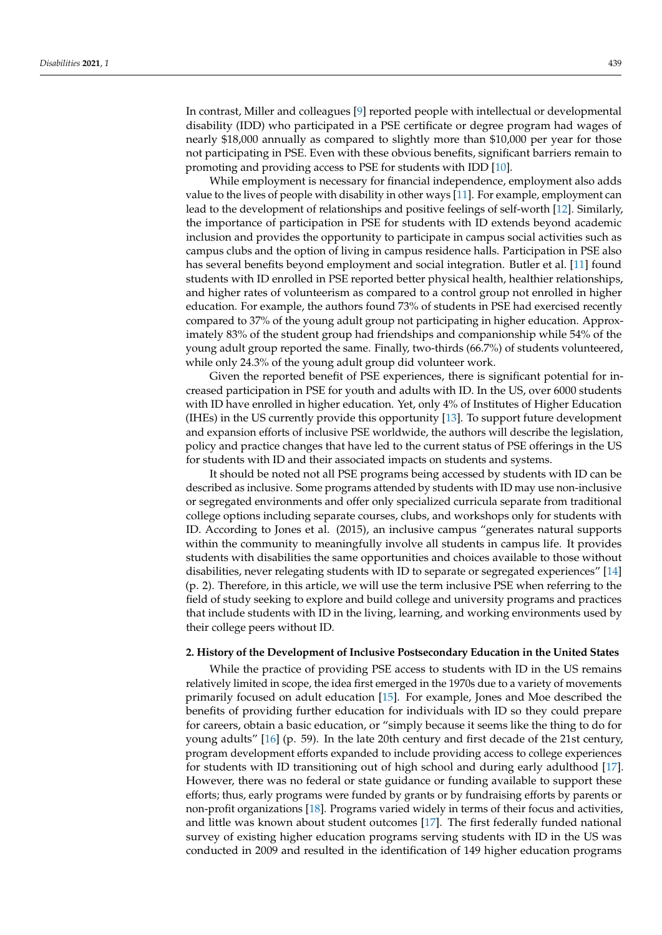In contrast, Miller and colleagues [\[9\]](#page-10-4) reported people with intellectual or developmental disability (IDD) who participated in a PSE certificate or degree program had wages of nearly \$18,000 annually as compared to slightly more than \$10,000 per year for those not participating in PSE. Even with these obvious benefits, significant barriers remain to promoting and providing access to PSE for students with IDD [\[10\]](#page-10-5).

While employment is necessary for financial independence, employment also adds value to the lives of people with disability in other ways [\[11\]](#page-10-6). For example, employment can lead to the development of relationships and positive feelings of self-worth [\[12\]](#page-10-7). Similarly, the importance of participation in PSE for students with ID extends beyond academic inclusion and provides the opportunity to participate in campus social activities such as campus clubs and the option of living in campus residence halls. Participation in PSE also has several benefits beyond employment and social integration. Butler et al. [\[11\]](#page-10-6) found students with ID enrolled in PSE reported better physical health, healthier relationships, and higher rates of volunteerism as compared to a control group not enrolled in higher education. For example, the authors found 73% of students in PSE had exercised recently compared to 37% of the young adult group not participating in higher education. Approximately 83% of the student group had friendships and companionship while 54% of the young adult group reported the same. Finally, two-thirds (66.7%) of students volunteered, while only 24.3% of the young adult group did volunteer work.

Given the reported benefit of PSE experiences, there is significant potential for increased participation in PSE for youth and adults with ID. In the US, over 6000 students with ID have enrolled in higher education. Yet, only 4% of Institutes of Higher Education (IHEs) in the US currently provide this opportunity [\[13\]](#page-10-8). To support future development and expansion efforts of inclusive PSE worldwide, the authors will describe the legislation, policy and practice changes that have led to the current status of PSE offerings in the US for students with ID and their associated impacts on students and systems.

It should be noted not all PSE programs being accessed by students with ID can be described as inclusive. Some programs attended by students with ID may use non-inclusive or segregated environments and offer only specialized curricula separate from traditional college options including separate courses, clubs, and workshops only for students with ID. According to Jones et al. (2015), an inclusive campus "generates natural supports within the community to meaningfully involve all students in campus life. It provides students with disabilities the same opportunities and choices available to those without disabilities, never relegating students with ID to separate or segregated experiences" [\[14\]](#page-10-9) (p. 2). Therefore, in this article, we will use the term inclusive PSE when referring to the field of study seeking to explore and build college and university programs and practices that include students with ID in the living, learning, and working environments used by their college peers without ID.

#### **2. History of the Development of Inclusive Postsecondary Education in the United States**

While the practice of providing PSE access to students with ID in the US remains relatively limited in scope, the idea first emerged in the 1970s due to a variety of movements primarily focused on adult education [\[15\]](#page-10-10). For example, Jones and Moe described the benefits of providing further education for individuals with ID so they could prepare for careers, obtain a basic education, or "simply because it seems like the thing to do for young adults" [\[16\]](#page-10-11) (p. 59). In the late 20th century and first decade of the 21st century, program development efforts expanded to include providing access to college experiences for students with ID transitioning out of high school and during early adulthood [\[17\]](#page-10-12). However, there was no federal or state guidance or funding available to support these efforts; thus, early programs were funded by grants or by fundraising efforts by parents or non-profit organizations [\[18\]](#page-10-13). Programs varied widely in terms of their focus and activities, and little was known about student outcomes [\[17\]](#page-10-12). The first federally funded national survey of existing higher education programs serving students with ID in the US was conducted in 2009 and resulted in the identification of 149 higher education programs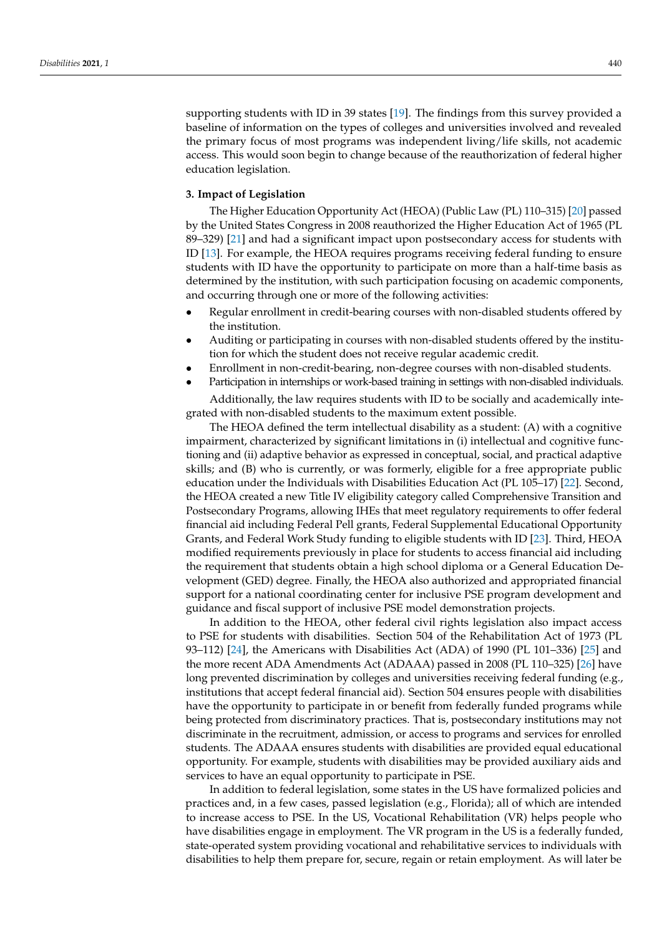supporting students with ID in 39 states [\[19\]](#page-10-14). The findings from this survey provided a baseline of information on the types of colleges and universities involved and revealed the primary focus of most programs was independent living/life skills, not academic access. This would soon begin to change because of the reauthorization of federal higher education legislation.

# **3. Impact of Legislation**

The Higher Education Opportunity Act (HEOA) (Public Law (PL) 110–315) [\[20\]](#page-10-15) passed by the United States Congress in 2008 reauthorized the Higher Education Act of 1965 (PL 89–329) [\[21\]](#page-10-16) and had a significant impact upon postsecondary access for students with ID [\[13\]](#page-10-8). For example, the HEOA requires programs receiving federal funding to ensure students with ID have the opportunity to participate on more than a half-time basis as determined by the institution, with such participation focusing on academic components, and occurring through one or more of the following activities:

- Regular enrollment in credit-bearing courses with non-disabled students offered by the institution.
- Auditing or participating in courses with non-disabled students offered by the institution for which the student does not receive regular academic credit.
- Enrollment in non-credit-bearing, non-degree courses with non-disabled students.
- Participation in internships or work-based training in settings with non-disabled individuals.

Additionally, the law requires students with ID to be socially and academically integrated with non-disabled students to the maximum extent possible.

The HEOA defined the term intellectual disability as a student: (A) with a cognitive impairment, characterized by significant limitations in (i) intellectual and cognitive functioning and (ii) adaptive behavior as expressed in conceptual, social, and practical adaptive skills; and (B) who is currently, or was formerly, eligible for a free appropriate public education under the Individuals with Disabilities Education Act (PL 105–17) [\[22\]](#page-10-17). Second, the HEOA created a new Title IV eligibility category called Comprehensive Transition and Postsecondary Programs, allowing IHEs that meet regulatory requirements to offer federal financial aid including Federal Pell grants, Federal Supplemental Educational Opportunity Grants, and Federal Work Study funding to eligible students with ID [\[23\]](#page-10-18). Third, HEOA modified requirements previously in place for students to access financial aid including the requirement that students obtain a high school diploma or a General Education Development (GED) degree. Finally, the HEOA also authorized and appropriated financial support for a national coordinating center for inclusive PSE program development and guidance and fiscal support of inclusive PSE model demonstration projects.

In addition to the HEOA, other federal civil rights legislation also impact access to PSE for students with disabilities. Section 504 of the Rehabilitation Act of 1973 (PL 93–112) [\[24\]](#page-10-19), the Americans with Disabilities Act (ADA) of 1990 (PL 101–336) [\[25\]](#page-10-20) and the more recent ADA Amendments Act (ADAAA) passed in 2008 (PL 110–325) [\[26\]](#page-10-21) have long prevented discrimination by colleges and universities receiving federal funding (e.g., institutions that accept federal financial aid). Section 504 ensures people with disabilities have the opportunity to participate in or benefit from federally funded programs while being protected from discriminatory practices. That is, postsecondary institutions may not discriminate in the recruitment, admission, or access to programs and services for enrolled students. The ADAAA ensures students with disabilities are provided equal educational opportunity. For example, students with disabilities may be provided auxiliary aids and services to have an equal opportunity to participate in PSE.

In addition to federal legislation, some states in the US have formalized policies and practices and, in a few cases, passed legislation (e.g., Florida); all of which are intended to increase access to PSE. In the US, Vocational Rehabilitation (VR) helps people who have disabilities engage in employment. The VR program in the US is a federally funded, state-operated system providing vocational and rehabilitative services to individuals with disabilities to help them prepare for, secure, regain or retain employment. As will later be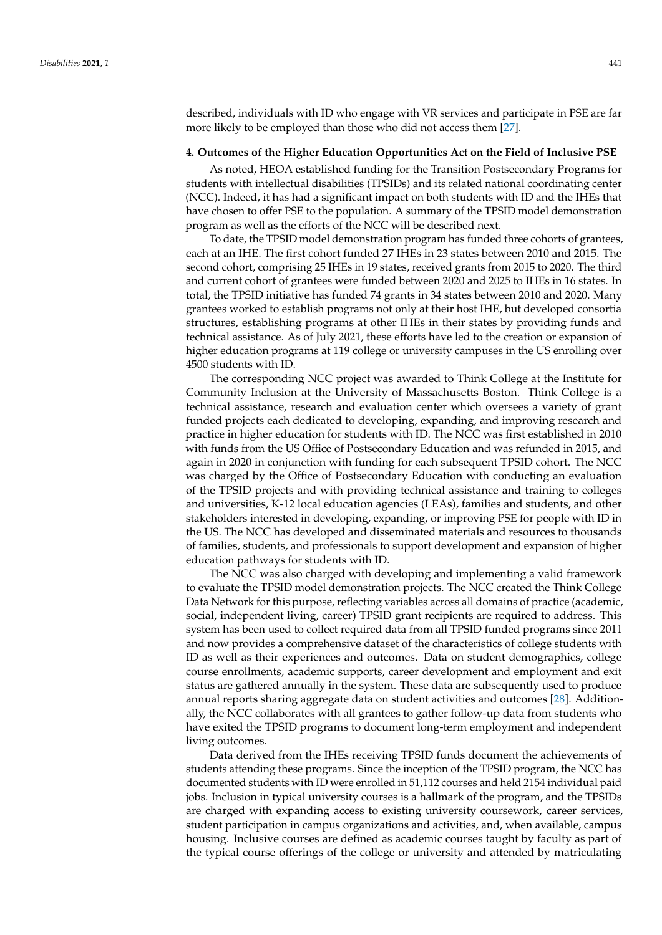described, individuals with ID who engage with VR services and participate in PSE are far more likely to be employed than those who did not access them [\[27\]](#page-10-22).

## **4. Outcomes of the Higher Education Opportunities Act on the Field of Inclusive PSE**

As noted, HEOA established funding for the Transition Postsecondary Programs for students with intellectual disabilities (TPSIDs) and its related national coordinating center (NCC). Indeed, it has had a significant impact on both students with ID and the IHEs that have chosen to offer PSE to the population. A summary of the TPSID model demonstration program as well as the efforts of the NCC will be described next.

To date, the TPSID model demonstration program has funded three cohorts of grantees, each at an IHE. The first cohort funded 27 IHEs in 23 states between 2010 and 2015. The second cohort, comprising 25 IHEs in 19 states, received grants from 2015 to 2020. The third and current cohort of grantees were funded between 2020 and 2025 to IHEs in 16 states. In total, the TPSID initiative has funded 74 grants in 34 states between 2010 and 2020. Many grantees worked to establish programs not only at their host IHE, but developed consortia structures, establishing programs at other IHEs in their states by providing funds and technical assistance. As of July 2021, these efforts have led to the creation or expansion of higher education programs at 119 college or university campuses in the US enrolling over 4500 students with ID.

The corresponding NCC project was awarded to Think College at the Institute for Community Inclusion at the University of Massachusetts Boston. Think College is a technical assistance, research and evaluation center which oversees a variety of grant funded projects each dedicated to developing, expanding, and improving research and practice in higher education for students with ID. The NCC was first established in 2010 with funds from the US Office of Postsecondary Education and was refunded in 2015, and again in 2020 in conjunction with funding for each subsequent TPSID cohort. The NCC was charged by the Office of Postsecondary Education with conducting an evaluation of the TPSID projects and with providing technical assistance and training to colleges and universities, K-12 local education agencies (LEAs), families and students, and other stakeholders interested in developing, expanding, or improving PSE for people with ID in the US. The NCC has developed and disseminated materials and resources to thousands of families, students, and professionals to support development and expansion of higher education pathways for students with ID.

The NCC was also charged with developing and implementing a valid framework to evaluate the TPSID model demonstration projects. The NCC created the Think College Data Network for this purpose, reflecting variables across all domains of practice (academic, social, independent living, career) TPSID grant recipients are required to address. This system has been used to collect required data from all TPSID funded programs since 2011 and now provides a comprehensive dataset of the characteristics of college students with ID as well as their experiences and outcomes. Data on student demographics, college course enrollments, academic supports, career development and employment and exit status are gathered annually in the system. These data are subsequently used to produce annual reports sharing aggregate data on student activities and outcomes [\[28\]](#page-10-23). Additionally, the NCC collaborates with all grantees to gather follow-up data from students who have exited the TPSID programs to document long-term employment and independent living outcomes.

Data derived from the IHEs receiving TPSID funds document the achievements of students attending these programs. Since the inception of the TPSID program, the NCC has documented students with ID were enrolled in 51,112 courses and held 2154 individual paid jobs. Inclusion in typical university courses is a hallmark of the program, and the TPSIDs are charged with expanding access to existing university coursework, career services, student participation in campus organizations and activities, and, when available, campus housing. Inclusive courses are defined as academic courses taught by faculty as part of the typical course offerings of the college or university and attended by matriculating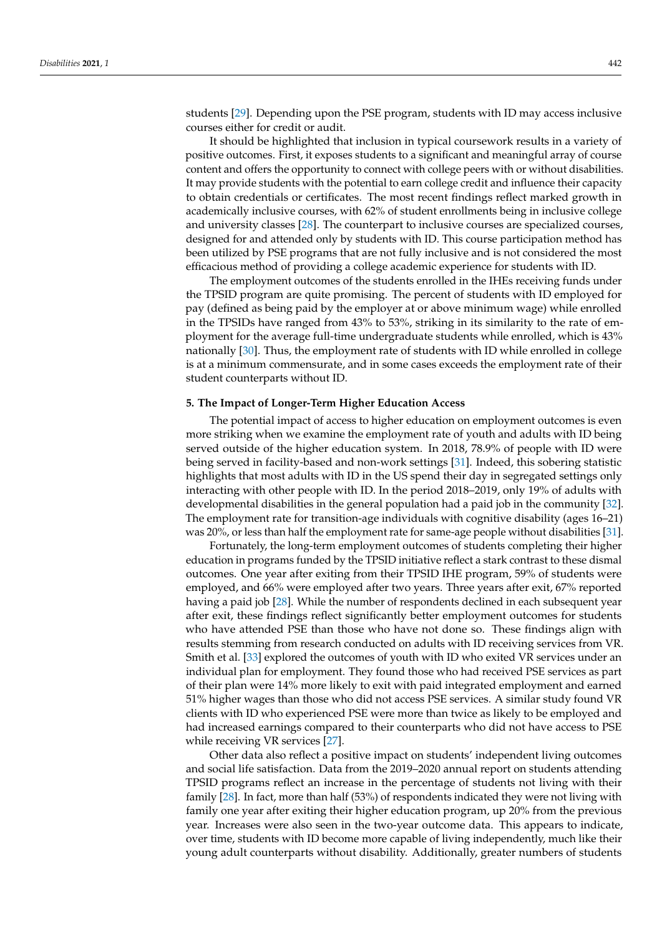students [\[29\]](#page-10-24). Depending upon the PSE program, students with ID may access inclusive courses either for credit or audit.

It should be highlighted that inclusion in typical coursework results in a variety of positive outcomes. First, it exposes students to a significant and meaningful array of course content and offers the opportunity to connect with college peers with or without disabilities. It may provide students with the potential to earn college credit and influence their capacity to obtain credentials or certificates. The most recent findings reflect marked growth in academically inclusive courses, with 62% of student enrollments being in inclusive college and university classes [\[28\]](#page-10-23). The counterpart to inclusive courses are specialized courses, designed for and attended only by students with ID. This course participation method has been utilized by PSE programs that are not fully inclusive and is not considered the most efficacious method of providing a college academic experience for students with ID.

The employment outcomes of the students enrolled in the IHEs receiving funds under the TPSID program are quite promising. The percent of students with ID employed for pay (defined as being paid by the employer at or above minimum wage) while enrolled in the TPSIDs have ranged from 43% to 53%, striking in its similarity to the rate of employment for the average full-time undergraduate students while enrolled, which is 43% nationally [\[30\]](#page-10-25). Thus, the employment rate of students with ID while enrolled in college is at a minimum commensurate, and in some cases exceeds the employment rate of their student counterparts without ID.

#### **5. The Impact of Longer-Term Higher Education Access**

The potential impact of access to higher education on employment outcomes is even more striking when we examine the employment rate of youth and adults with ID being served outside of the higher education system. In 2018, 78.9% of people with ID were being served in facility-based and non-work settings [\[31\]](#page-11-0). Indeed, this sobering statistic highlights that most adults with ID in the US spend their day in segregated settings only interacting with other people with ID. In the period 2018–2019, only 19% of adults with developmental disabilities in the general population had a paid job in the community [\[32\]](#page-11-1). The employment rate for transition-age individuals with cognitive disability (ages 16–21) was 20%, or less than half the employment rate for same-age people without disabilities [\[31\]](#page-11-0).

Fortunately, the long-term employment outcomes of students completing their higher education in programs funded by the TPSID initiative reflect a stark contrast to these dismal outcomes. One year after exiting from their TPSID IHE program, 59% of students were employed, and 66% were employed after two years. Three years after exit, 67% reported having a paid job [\[28\]](#page-10-23). While the number of respondents declined in each subsequent year after exit, these findings reflect significantly better employment outcomes for students who have attended PSE than those who have not done so. These findings align with results stemming from research conducted on adults with ID receiving services from VR. Smith et al. [\[33\]](#page-11-2) explored the outcomes of youth with ID who exited VR services under an individual plan for employment. They found those who had received PSE services as part of their plan were 14% more likely to exit with paid integrated employment and earned 51% higher wages than those who did not access PSE services. A similar study found VR clients with ID who experienced PSE were more than twice as likely to be employed and had increased earnings compared to their counterparts who did not have access to PSE while receiving VR services [\[27\]](#page-10-22).

Other data also reflect a positive impact on students' independent living outcomes and social life satisfaction. Data from the 2019–2020 annual report on students attending TPSID programs reflect an increase in the percentage of students not living with their family [\[28\]](#page-10-23). In fact, more than half (53%) of respondents indicated they were not living with family one year after exiting their higher education program, up 20% from the previous year. Increases were also seen in the two-year outcome data. This appears to indicate, over time, students with ID become more capable of living independently, much like their young adult counterparts without disability. Additionally, greater numbers of students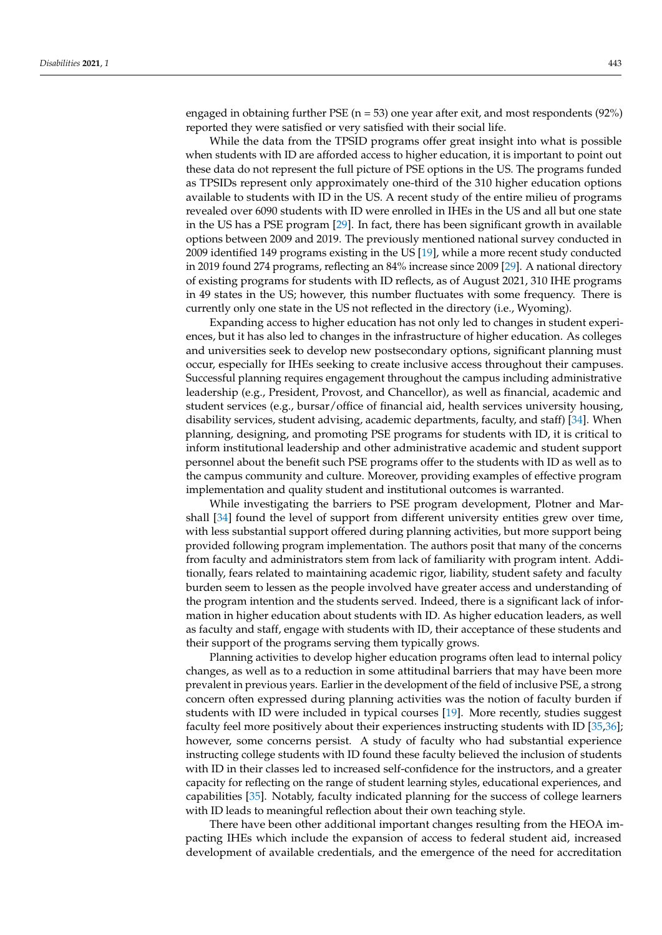engaged in obtaining further PSE ( $n = 53$ ) one year after exit, and most respondents (92%) reported they were satisfied or very satisfied with their social life.

While the data from the TPSID programs offer great insight into what is possible when students with ID are afforded access to higher education, it is important to point out these data do not represent the full picture of PSE options in the US. The programs funded as TPSIDs represent only approximately one-third of the 310 higher education options available to students with ID in the US. A recent study of the entire milieu of programs revealed over 6090 students with ID were enrolled in IHEs in the US and all but one state in the US has a PSE program [\[29\]](#page-10-24). In fact, there has been significant growth in available options between 2009 and 2019. The previously mentioned national survey conducted in 2009 identified 149 programs existing in the US [\[19\]](#page-10-14), while a more recent study conducted in 2019 found 274 programs, reflecting an 84% increase since 2009 [\[29\]](#page-10-24). A national directory of existing programs for students with ID reflects, as of August 2021, 310 IHE programs in 49 states in the US; however, this number fluctuates with some frequency. There is currently only one state in the US not reflected in the directory (i.e., Wyoming).

Expanding access to higher education has not only led to changes in student experiences, but it has also led to changes in the infrastructure of higher education. As colleges and universities seek to develop new postsecondary options, significant planning must occur, especially for IHEs seeking to create inclusive access throughout their campuses. Successful planning requires engagement throughout the campus including administrative leadership (e.g., President, Provost, and Chancellor), as well as financial, academic and student services (e.g., bursar/office of financial aid, health services university housing, disability services, student advising, academic departments, faculty, and staff) [\[34\]](#page-11-3). When planning, designing, and promoting PSE programs for students with ID, it is critical to inform institutional leadership and other administrative academic and student support personnel about the benefit such PSE programs offer to the students with ID as well as to the campus community and culture. Moreover, providing examples of effective program implementation and quality student and institutional outcomes is warranted.

While investigating the barriers to PSE program development, Plotner and Marshall [\[34\]](#page-11-3) found the level of support from different university entities grew over time, with less substantial support offered during planning activities, but more support being provided following program implementation. The authors posit that many of the concerns from faculty and administrators stem from lack of familiarity with program intent. Additionally, fears related to maintaining academic rigor, liability, student safety and faculty burden seem to lessen as the people involved have greater access and understanding of the program intention and the students served. Indeed, there is a significant lack of information in higher education about students with ID. As higher education leaders, as well as faculty and staff, engage with students with ID, their acceptance of these students and their support of the programs serving them typically grows.

Planning activities to develop higher education programs often lead to internal policy changes, as well as to a reduction in some attitudinal barriers that may have been more prevalent in previous years. Earlier in the development of the field of inclusive PSE, a strong concern often expressed during planning activities was the notion of faculty burden if students with ID were included in typical courses [\[19\]](#page-10-14). More recently, studies suggest faculty feel more positively about their experiences instructing students with ID [\[35,](#page-11-4)[36\]](#page-11-5); however, some concerns persist. A study of faculty who had substantial experience instructing college students with ID found these faculty believed the inclusion of students with ID in their classes led to increased self-confidence for the instructors, and a greater capacity for reflecting on the range of student learning styles, educational experiences, and capabilities [\[35\]](#page-11-4). Notably, faculty indicated planning for the success of college learners with ID leads to meaningful reflection about their own teaching style.

There have been other additional important changes resulting from the HEOA impacting IHEs which include the expansion of access to federal student aid, increased development of available credentials, and the emergence of the need for accreditation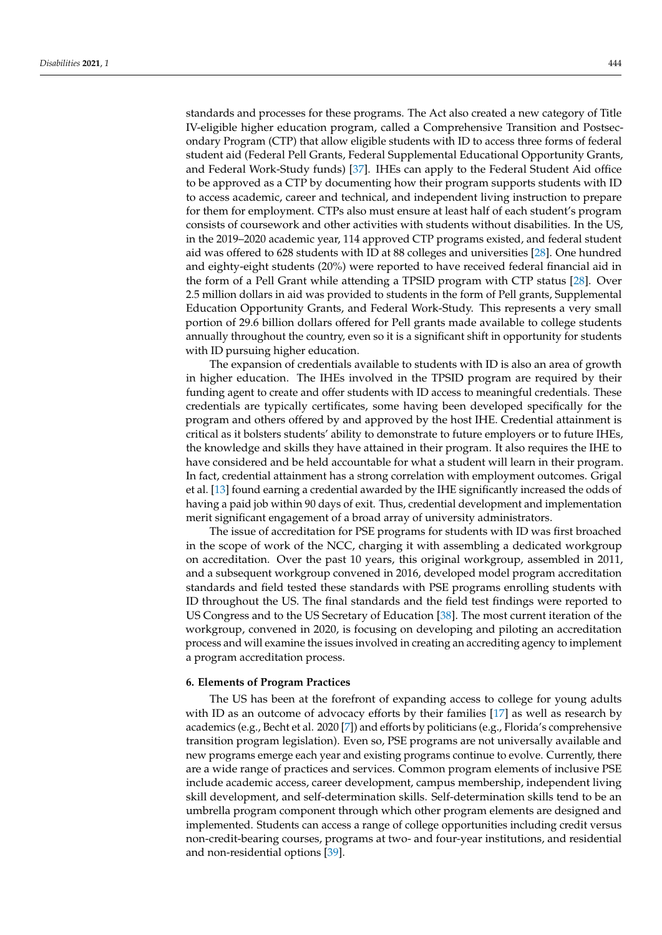standards and processes for these programs. The Act also created a new category of Title IV-eligible higher education program, called a Comprehensive Transition and Postsecondary Program (CTP) that allow eligible students with ID to access three forms of federal student aid (Federal Pell Grants, Federal Supplemental Educational Opportunity Grants, and Federal Work-Study funds) [\[37\]](#page-11-6). IHEs can apply to the Federal Student Aid office to be approved as a CTP by documenting how their program supports students with ID to access academic, career and technical, and independent living instruction to prepare for them for employment. CTPs also must ensure at least half of each student's program consists of coursework and other activities with students without disabilities. In the US, in the 2019–2020 academic year, 114 approved CTP programs existed, and federal student aid was offered to 628 students with ID at 88 colleges and universities [\[28\]](#page-10-23). One hundred and eighty-eight students (20%) were reported to have received federal financial aid in the form of a Pell Grant while attending a TPSID program with CTP status [\[28\]](#page-10-23). Over 2.5 million dollars in aid was provided to students in the form of Pell grants, Supplemental Education Opportunity Grants, and Federal Work-Study. This represents a very small portion of 29.6 billion dollars offered for Pell grants made available to college students annually throughout the country, even so it is a significant shift in opportunity for students with ID pursuing higher education.

The expansion of credentials available to students with ID is also an area of growth in higher education. The IHEs involved in the TPSID program are required by their funding agent to create and offer students with ID access to meaningful credentials. These credentials are typically certificates, some having been developed specifically for the program and others offered by and approved by the host IHE. Credential attainment is critical as it bolsters students' ability to demonstrate to future employers or to future IHEs, the knowledge and skills they have attained in their program. It also requires the IHE to have considered and be held accountable for what a student will learn in their program. In fact, credential attainment has a strong correlation with employment outcomes. Grigal et al. [\[13\]](#page-10-8) found earning a credential awarded by the IHE significantly increased the odds of having a paid job within 90 days of exit. Thus, credential development and implementation merit significant engagement of a broad array of university administrators.

The issue of accreditation for PSE programs for students with ID was first broached in the scope of work of the NCC, charging it with assembling a dedicated workgroup on accreditation. Over the past 10 years, this original workgroup, assembled in 2011, and a subsequent workgroup convened in 2016, developed model program accreditation standards and field tested these standards with PSE programs enrolling students with ID throughout the US. The final standards and the field test findings were reported to US Congress and to the US Secretary of Education [\[38\]](#page-11-7). The most current iteration of the workgroup, convened in 2020, is focusing on developing and piloting an accreditation process and will examine the issues involved in creating an accrediting agency to implement a program accreditation process.

### **6. Elements of Program Practices**

The US has been at the forefront of expanding access to college for young adults with ID as an outcome of advocacy efforts by their families [\[17\]](#page-10-12) as well as research by academics (e.g., Becht et al. 2020 [\[7\]](#page-10-2)) and efforts by politicians (e.g., Florida's comprehensive transition program legislation). Even so, PSE programs are not universally available and new programs emerge each year and existing programs continue to evolve. Currently, there are a wide range of practices and services. Common program elements of inclusive PSE include academic access, career development, campus membership, independent living skill development, and self-determination skills. Self-determination skills tend to be an umbrella program component through which other program elements are designed and implemented. Students can access a range of college opportunities including credit versus non-credit-bearing courses, programs at two- and four-year institutions, and residential and non-residential options [\[39\]](#page-11-8).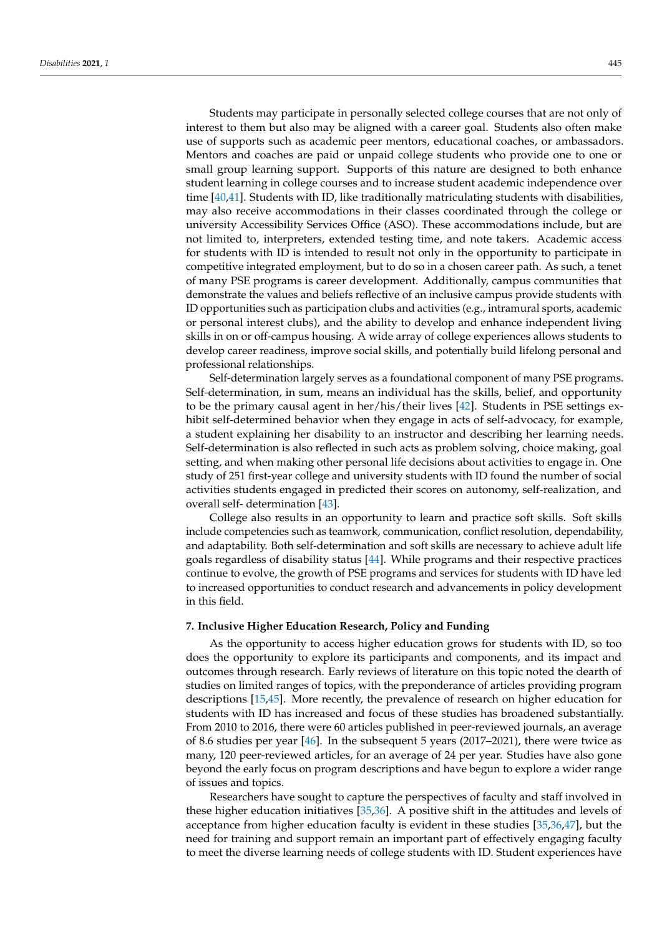Students may participate in personally selected college courses that are not only of interest to them but also may be aligned with a career goal. Students also often make use of supports such as academic peer mentors, educational coaches, or ambassadors. Mentors and coaches are paid or unpaid college students who provide one to one or small group learning support. Supports of this nature are designed to both enhance student learning in college courses and to increase student academic independence over time [\[40,](#page-11-9)[41\]](#page-11-10). Students with ID, like traditionally matriculating students with disabilities, may also receive accommodations in their classes coordinated through the college or university Accessibility Services Office (ASO). These accommodations include, but are not limited to, interpreters, extended testing time, and note takers. Academic access for students with ID is intended to result not only in the opportunity to participate in competitive integrated employment, but to do so in a chosen career path. As such, a tenet of many PSE programs is career development. Additionally, campus communities that demonstrate the values and beliefs reflective of an inclusive campus provide students with ID opportunities such as participation clubs and activities (e.g., intramural sports, academic or personal interest clubs), and the ability to develop and enhance independent living skills in on or off-campus housing. A wide array of college experiences allows students to develop career readiness, improve social skills, and potentially build lifelong personal and professional relationships.

Self-determination largely serves as a foundational component of many PSE programs. Self-determination, in sum, means an individual has the skills, belief, and opportunity to be the primary causal agent in her/his/their lives [\[42\]](#page-11-11). Students in PSE settings exhibit self-determined behavior when they engage in acts of self-advocacy, for example, a student explaining her disability to an instructor and describing her learning needs. Self-determination is also reflected in such acts as problem solving, choice making, goal setting, and when making other personal life decisions about activities to engage in. One study of 251 first-year college and university students with ID found the number of social activities students engaged in predicted their scores on autonomy, self-realization, and overall self- determination [\[43\]](#page-11-12).

College also results in an opportunity to learn and practice soft skills. Soft skills include competencies such as teamwork, communication, conflict resolution, dependability, and adaptability. Both self-determination and soft skills are necessary to achieve adult life goals regardless of disability status [\[44\]](#page-11-13). While programs and their respective practices continue to evolve, the growth of PSE programs and services for students with ID have led to increased opportunities to conduct research and advancements in policy development in this field.

# **7. Inclusive Higher Education Research, Policy and Funding**

As the opportunity to access higher education grows for students with ID, so too does the opportunity to explore its participants and components, and its impact and outcomes through research. Early reviews of literature on this topic noted the dearth of studies on limited ranges of topics, with the preponderance of articles providing program descriptions [\[15](#page-10-10)[,45\]](#page-11-14). More recently, the prevalence of research on higher education for students with ID has increased and focus of these studies has broadened substantially. From 2010 to 2016, there were 60 articles published in peer-reviewed journals, an average of 8.6 studies per year [\[46\]](#page-11-15). In the subsequent 5 years (2017–2021), there were twice as many, 120 peer-reviewed articles, for an average of 24 per year. Studies have also gone beyond the early focus on program descriptions and have begun to explore a wider range of issues and topics.

Researchers have sought to capture the perspectives of faculty and staff involved in these higher education initiatives [\[35,](#page-11-4)[36\]](#page-11-5). A positive shift in the attitudes and levels of acceptance from higher education faculty is evident in these studies [\[35](#page-11-4)[,36](#page-11-5)[,47\]](#page-11-16), but the need for training and support remain an important part of effectively engaging faculty to meet the diverse learning needs of college students with ID. Student experiences have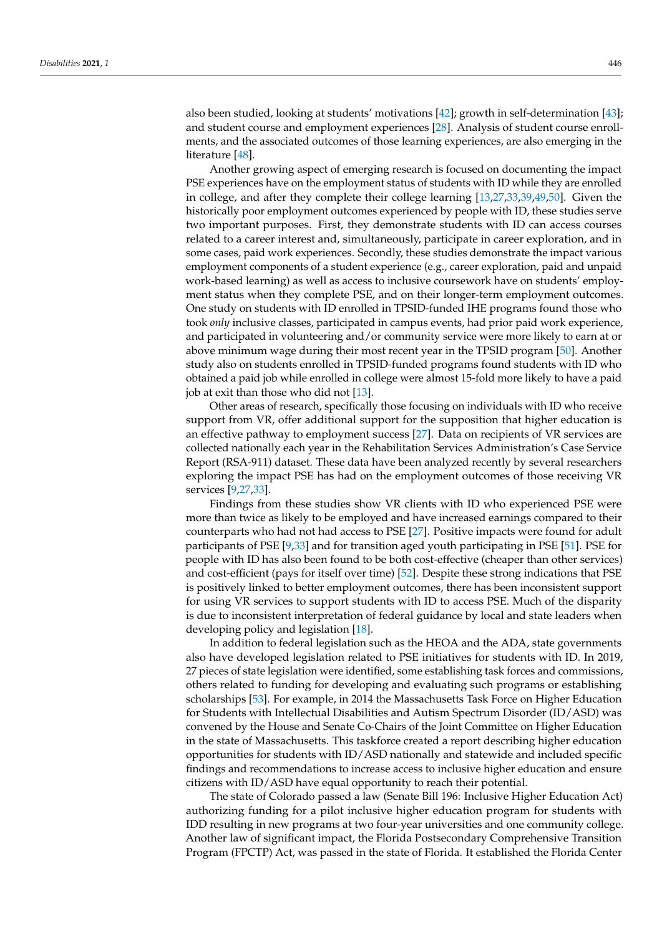also been studied, looking at students' motivations [\[42\]](#page-11-11); growth in self-determination [\[43\]](#page-11-12); and student course and employment experiences [\[28\]](#page-10-23). Analysis of student course enrollments, and the associated outcomes of those learning experiences, are also emerging in the literature [\[48\]](#page-11-17).

Another growing aspect of emerging research is focused on documenting the impact PSE experiences have on the employment status of students with ID while they are enrolled in college, and after they complete their college learning [\[13,](#page-10-8)[27,](#page-10-22)[33,](#page-11-2)[39,](#page-11-8)[49,](#page-11-18)[50\]](#page-11-19). Given the historically poor employment outcomes experienced by people with ID, these studies serve two important purposes. First, they demonstrate students with ID can access courses related to a career interest and, simultaneously, participate in career exploration, and in some cases, paid work experiences. Secondly, these studies demonstrate the impact various employment components of a student experience (e.g., career exploration, paid and unpaid work-based learning) as well as access to inclusive coursework have on students' employment status when they complete PSE, and on their longer-term employment outcomes. One study on students with ID enrolled in TPSID-funded IHE programs found those who took *only* inclusive classes, participated in campus events, had prior paid work experience, and participated in volunteering and/or community service were more likely to earn at or above minimum wage during their most recent year in the TPSID program [\[50\]](#page-11-19). Another study also on students enrolled in TPSID-funded programs found students with ID who obtained a paid job while enrolled in college were almost 15-fold more likely to have a paid job at exit than those who did not [\[13\]](#page-10-8).

Other areas of research, specifically those focusing on individuals with ID who receive support from VR, offer additional support for the supposition that higher education is an effective pathway to employment success [\[27\]](#page-10-22). Data on recipients of VR services are collected nationally each year in the Rehabilitation Services Administration's Case Service Report (RSA-911) dataset. These data have been analyzed recently by several researchers exploring the impact PSE has had on the employment outcomes of those receiving VR services [\[9](#page-10-4)[,27](#page-10-22)[,33\]](#page-11-2).

Findings from these studies show VR clients with ID who experienced PSE were more than twice as likely to be employed and have increased earnings compared to their counterparts who had not had access to PSE [\[27\]](#page-10-22). Positive impacts were found for adult participants of PSE [\[9,](#page-10-4)[33\]](#page-11-2) and for transition aged youth participating in PSE [\[51\]](#page-11-20). PSE for people with ID has also been found to be both cost-effective (cheaper than other services) and cost-efficient (pays for itself over time) [\[52\]](#page-11-21). Despite these strong indications that PSE is positively linked to better employment outcomes, there has been inconsistent support for using VR services to support students with ID to access PSE. Much of the disparity is due to inconsistent interpretation of federal guidance by local and state leaders when developing policy and legislation [\[18\]](#page-10-13).

In addition to federal legislation such as the HEOA and the ADA, state governments also have developed legislation related to PSE initiatives for students with ID. In 2019, 27 pieces of state legislation were identified, some establishing task forces and commissions, others related to funding for developing and evaluating such programs or establishing scholarships [\[53\]](#page-11-22). For example, in 2014 the Massachusetts Task Force on Higher Education for Students with Intellectual Disabilities and Autism Spectrum Disorder (ID/ASD) was convened by the House and Senate Co-Chairs of the Joint Committee on Higher Education in the state of Massachusetts. This taskforce created a report describing higher education opportunities for students with ID/ASD nationally and statewide and included specific findings and recommendations to increase access to inclusive higher education and ensure citizens with ID/ASD have equal opportunity to reach their potential.

The state of Colorado passed a law (Senate Bill 196: Inclusive Higher Education Act) authorizing funding for a pilot inclusive higher education program for students with IDD resulting in new programs at two four-year universities and one community college. Another law of significant impact, the Florida Postsecondary Comprehensive Transition Program (FPCTP) Act, was passed in the state of Florida. It established the Florida Center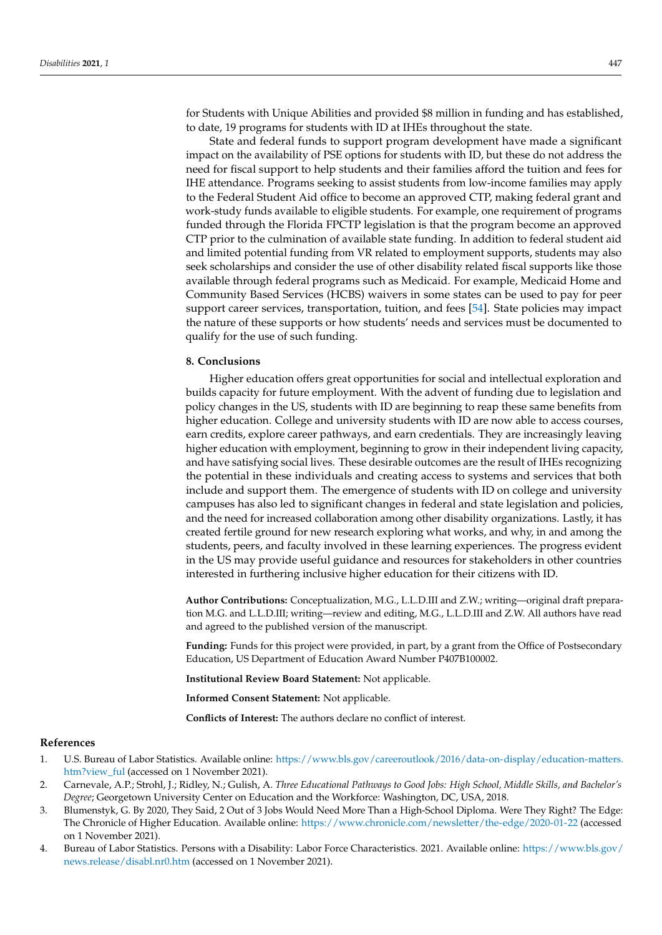for Students with Unique Abilities and provided \$8 million in funding and has established, to date, 19 programs for students with ID at IHEs throughout the state.

State and federal funds to support program development have made a significant impact on the availability of PSE options for students with ID, but these do not address the need for fiscal support to help students and their families afford the tuition and fees for IHE attendance. Programs seeking to assist students from low-income families may apply to the Federal Student Aid office to become an approved CTP, making federal grant and work-study funds available to eligible students. For example, one requirement of programs funded through the Florida FPCTP legislation is that the program become an approved CTP prior to the culmination of available state funding. In addition to federal student aid and limited potential funding from VR related to employment supports, students may also seek scholarships and consider the use of other disability related fiscal supports like those available through federal programs such as Medicaid. For example, Medicaid Home and Community Based Services (HCBS) waivers in some states can be used to pay for peer support career services, transportation, tuition, and fees [\[54\]](#page-11-23). State policies may impact the nature of these supports or how students' needs and services must be documented to qualify for the use of such funding.

## **8. Conclusions**

Higher education offers great opportunities for social and intellectual exploration and builds capacity for future employment. With the advent of funding due to legislation and policy changes in the US, students with ID are beginning to reap these same benefits from higher education. College and university students with ID are now able to access courses, earn credits, explore career pathways, and earn credentials. They are increasingly leaving higher education with employment, beginning to grow in their independent living capacity, and have satisfying social lives. These desirable outcomes are the result of IHEs recognizing the potential in these individuals and creating access to systems and services that both include and support them. The emergence of students with ID on college and university campuses has also led to significant changes in federal and state legislation and policies, and the need for increased collaboration among other disability organizations. Lastly, it has created fertile ground for new research exploring what works, and why, in and among the students, peers, and faculty involved in these learning experiences. The progress evident in the US may provide useful guidance and resources for stakeholders in other countries interested in furthering inclusive higher education for their citizens with ID.

**Author Contributions:** Conceptualization, M.G., L.L.D.III and Z.W.; writing—original draft preparation M.G. and L.L.D.III; writing—review and editing, M.G., L.L.D.III and Z.W. All authors have read and agreed to the published version of the manuscript.

**Funding:** Funds for this project were provided, in part, by a grant from the Office of Postsecondary Education, US Department of Education Award Number P407B100002.

**Institutional Review Board Statement:** Not applicable.

**Informed Consent Statement:** Not applicable.

**Conflicts of Interest:** The authors declare no conflict of interest.

#### **References**

- <span id="page-9-0"></span>1. U.S. Bureau of Labor Statistics. Available online: [https://www.bls.gov/careeroutlook/2016/data-on-display/education-matters.](https://www.bls.gov/careeroutlook/2016/data-on-display/education-matters.htm?view_ful) [htm?view\\_ful](https://www.bls.gov/careeroutlook/2016/data-on-display/education-matters.htm?view_ful) (accessed on 1 November 2021).
- <span id="page-9-1"></span>2. Carnevale, A.P.; Strohl, J.; Ridley, N.; Gulish, A. *Three Educational Pathways to Good Jobs: High School, Middle Skills, and Bachelor's Degree*; Georgetown University Center on Education and the Workforce: Washington, DC, USA, 2018.
- <span id="page-9-2"></span>3. Blumenstyk, G. By 2020, They Said, 2 Out of 3 Jobs Would Need More Than a High-School Diploma. Were They Right? The Edge: The Chronicle of Higher Education. Available online: <https://www.chronicle.com/newsletter/the-edge/2020-01-22> (accessed on 1 November 2021).
- <span id="page-9-3"></span>4. Bureau of Labor Statistics. Persons with a Disability: Labor Force Characteristics. 2021. Available online: [https://www.bls.gov/](https://www.bls.gov/news.release/disabl.nr0.htm) [news.release/disabl.nr0.htm](https://www.bls.gov/news.release/disabl.nr0.htm) (accessed on 1 November 2021).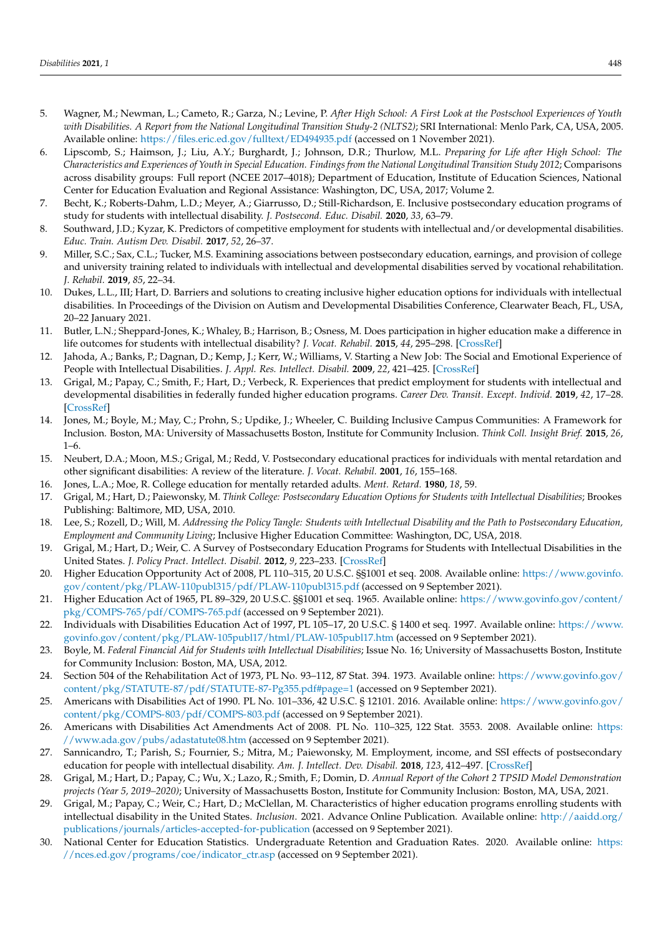- <span id="page-10-0"></span>5. Wagner, M.; Newman, L.; Cameto, R.; Garza, N.; Levine, P. *After High School: A First Look at the Postschool Experiences of Youth with Disabilities. A Report from the National Longitudinal Transition Study-2 (NLTS2)*; SRI International: Menlo Park, CA, USA, 2005. Available online: <https://files.eric.ed.gov/fulltext/ED494935.pdf> (accessed on 1 November 2021).
- <span id="page-10-1"></span>6. Lipscomb, S.; Haimson, J.; Liu, A.Y.; Burghardt, J.; Johnson, D.R.; Thurlow, M.L. *Preparing for Life after High School: The Characteristics and Experiences of Youth in Special Education. Findings from the National Longitudinal Transition Study 2012*; Comparisons across disability groups: Full report (NCEE 2017–4018); Department of Education, Institute of Education Sciences, National Center for Education Evaluation and Regional Assistance: Washington, DC, USA, 2017; Volume 2.
- <span id="page-10-2"></span>7. Becht, K.; Roberts-Dahm, L.D.; Meyer, A.; Giarrusso, D.; Still-Richardson, E. Inclusive postsecondary education programs of study for students with intellectual disability. *J. Postsecond. Educ. Disabil.* **2020**, *33*, 63–79.
- <span id="page-10-3"></span>8. Southward, J.D.; Kyzar, K. Predictors of competitive employment for students with intellectual and/or developmental disabilities. *Educ. Train. Autism Dev. Disabil.* **2017**, *52*, 26–37.
- <span id="page-10-4"></span>9. Miller, S.C.; Sax, C.L.; Tucker, M.S. Examining associations between postsecondary education, earnings, and provision of college and university training related to individuals with intellectual and developmental disabilities served by vocational rehabilitation. *J. Rehabil.* **2019**, *85*, 22–34.
- <span id="page-10-5"></span>10. Dukes, L.L., III; Hart, D. Barriers and solutions to creating inclusive higher education options for individuals with intellectual disabilities. In Proceedings of the Division on Autism and Developmental Disabilities Conference, Clearwater Beach, FL, USA, 20–22 January 2021.
- <span id="page-10-6"></span>11. Butler, L.N.; Sheppard-Jones, K.; Whaley, B.; Harrison, B.; Osness, M. Does participation in higher education make a difference in life outcomes for students with intellectual disability? *J. Vocat. Rehabil.* **2015**, *44*, 295–298. [\[CrossRef\]](http://doi.org/10.3233/JVR-160804)
- <span id="page-10-7"></span>12. Jahoda, A.; Banks, P.; Dagnan, D.; Kemp, J.; Kerr, W.; Williams, V. Starting a New Job: The Social and Emotional Experience of People with Intellectual Disabilities. *J. Appl. Res. Intellect. Disabil.* **2009**, *22*, 421–425. [\[CrossRef\]](http://doi.org/10.1111/j.1468-3148.2009.00497.x)
- <span id="page-10-8"></span>13. Grigal, M.; Papay, C.; Smith, F.; Hart, D.; Verbeck, R. Experiences that predict employment for students with intellectual and developmental disabilities in federally funded higher education programs. *Career Dev. Transit. Except. Individ.* **2019**, *42*, 17–28. [\[CrossRef\]](http://doi.org/10.1177/2165143418813358)
- <span id="page-10-9"></span>14. Jones, M.; Boyle, M.; May, C.; Prohn, S.; Updike, J.; Wheeler, C. Building Inclusive Campus Communities: A Framework for Inclusion. Boston, MA: University of Massachusetts Boston, Institute for Community Inclusion. *Think Coll. Insight Brief.* **2015**, *26*, 1–6.
- <span id="page-10-10"></span>15. Neubert, D.A.; Moon, M.S.; Grigal, M.; Redd, V. Postsecondary educational practices for individuals with mental retardation and other significant disabilities: A review of the literature. *J. Vocat. Rehabil.* **2001**, *16*, 155–168.
- <span id="page-10-11"></span>16. Jones, L.A.; Moe, R. College education for mentally retarded adults. *Ment. Retard.* **1980**, *18*, 59.
- <span id="page-10-12"></span>17. Grigal, M.; Hart, D.; Paiewonsky, M. *Think College: Postsecondary Education Options for Students with Intellectual Disabilities*; Brookes Publishing: Baltimore, MD, USA, 2010.
- <span id="page-10-13"></span>18. Lee, S.; Rozell, D.; Will, M. *Addressing the Policy Tangle: Students with Intellectual Disability and the Path to Postsecondary Education, Employment and Community Living*; Inclusive Higher Education Committee: Washington, DC, USA, 2018.
- <span id="page-10-14"></span>19. Grigal, M.; Hart, D.; Weir, C. A Survey of Postsecondary Education Programs for Students with Intellectual Disabilities in the United States. *J. Policy Pract. Intellect. Disabil.* **2012**, *9*, 223–233. [\[CrossRef\]](http://doi.org/10.1111/jppi.12012)
- <span id="page-10-15"></span>20. Higher Education Opportunity Act of 2008, PL 110–315, 20 U.S.C. §§1001 et seq. 2008. Available online: [https://www.govinfo.](https://www.govinfo.gov/content/pkg/PLAW-110publ315/pdf/PLAW-110publ315.pdf) [gov/content/pkg/PLAW-110publ315/pdf/PLAW-110publ315.pdf](https://www.govinfo.gov/content/pkg/PLAW-110publ315/pdf/PLAW-110publ315.pdf) (accessed on 9 September 2021).
- <span id="page-10-16"></span>21. Higher Education Act of 1965, PL 89–329, 20 U.S.C. §§1001 et seq. 1965. Available online: [https://www.govinfo.gov/content/](https://www.govinfo.gov/content/pkg/COMPS-765/pdf/COMPS-765.pdf) [pkg/COMPS-765/pdf/COMPS-765.pdf](https://www.govinfo.gov/content/pkg/COMPS-765/pdf/COMPS-765.pdf) (accessed on 9 September 2021).
- <span id="page-10-17"></span>22. Individuals with Disabilities Education Act of 1997, PL 105–17, 20 U.S.C. § 1400 et seq. 1997. Available online: [https://www.](https://www.govinfo.gov/content/pkg/PLAW-105publ17/html/PLAW-105publ17.htm) [govinfo.gov/content/pkg/PLAW-105publ17/html/PLAW-105publ17.htm](https://www.govinfo.gov/content/pkg/PLAW-105publ17/html/PLAW-105publ17.htm) (accessed on 9 September 2021).
- <span id="page-10-18"></span>23. Boyle, M. *Federal Financial Aid for Students with Intellectual Disabilities*; Issue No. 16; University of Massachusetts Boston, Institute for Community Inclusion: Boston, MA, USA, 2012.
- <span id="page-10-19"></span>24. Section 504 of the Rehabilitation Act of 1973, PL No. 93–112, 87 Stat. 394. 1973. Available online: [https://www.govinfo.gov/](https://www.govinfo.gov/content/pkg/STATUTE-87/pdf/STATUTE-87-Pg355.pdf#page=1) [content/pkg/STATUTE-87/pdf/STATUTE-87-Pg355.pdf#page=1](https://www.govinfo.gov/content/pkg/STATUTE-87/pdf/STATUTE-87-Pg355.pdf#page=1) (accessed on 9 September 2021).
- <span id="page-10-20"></span>25. Americans with Disabilities Act of 1990. PL No. 101–336, 42 U.S.C. § 12101. 2016. Available online: [https://www.govinfo.gov/](https://www.govinfo.gov/content/pkg/COMPS-803/pdf/COMPS-803.pdf) [content/pkg/COMPS-803/pdf/COMPS-803.pdf](https://www.govinfo.gov/content/pkg/COMPS-803/pdf/COMPS-803.pdf) (accessed on 9 September 2021).
- <span id="page-10-21"></span>26. Americans with Disabilities Act Amendments Act of 2008. PL No. 110–325, 122 Stat. 3553. 2008. Available online: [https:](https://www.ada.gov/pubs/adastatute08.htm) [//www.ada.gov/pubs/adastatute08.htm](https://www.ada.gov/pubs/adastatute08.htm) (accessed on 9 September 2021).
- <span id="page-10-22"></span>27. Sannicandro, T.; Parish, S.; Fournier, S.; Mitra, M.; Paiewonsky, M. Employment, income, and SSI effects of postsecondary education for people with intellectual disability. *Am. J. Intellect. Dev. Disabil.* **2018**, *123*, 412–497. [\[CrossRef\]](http://doi.org/10.1352/1944-7558-123.5.412)
- <span id="page-10-23"></span>28. Grigal, M.; Hart, D.; Papay, C.; Wu, X.; Lazo, R.; Smith, F.; Domin, D. *Annual Report of the Cohort 2 TPSID Model Demonstration projects (Year 5, 2019–2020)*; University of Massachusetts Boston, Institute for Community Inclusion: Boston, MA, USA, 2021.
- <span id="page-10-24"></span>29. Grigal, M.; Papay, C.; Weir, C.; Hart, D.; McClellan, M. Characteristics of higher education programs enrolling students with intellectual disability in the United States. *Inclusion*. 2021. Advance Online Publication. Available online: [http://aaidd.org/](http://aaidd.org/publications/journals/articles-accepted-for-publication) [publications/journals/articles-accepted-for-publication](http://aaidd.org/publications/journals/articles-accepted-for-publication) (accessed on 9 September 2021).
- <span id="page-10-25"></span>30. National Center for Education Statistics. Undergraduate Retention and Graduation Rates. 2020. Available online: [https:](https://nces.ed.gov/programs/coe/indicator_ctr.asp) [//nces.ed.gov/programs/coe/indicator\\_ctr.asp](https://nces.ed.gov/programs/coe/indicator_ctr.asp) (accessed on 9 September 2021).